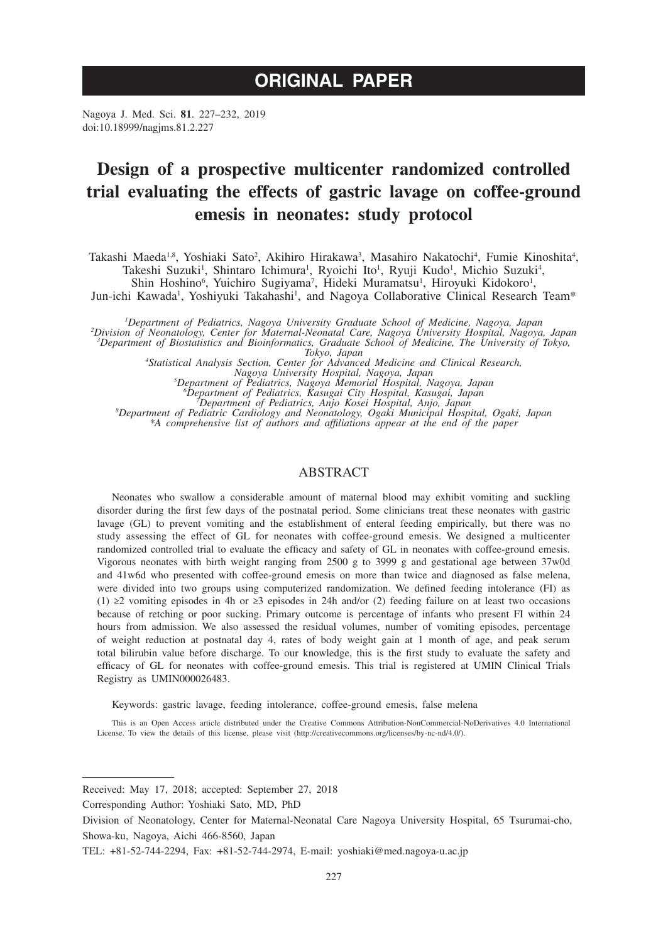# **ORIGINAL PAPER**

Nagoya J. Med. Sci. **81**. 227–232, 2019 doi:10.18999/nagjms.81.2.227

# **Design of a prospective multicenter randomized controlled trial evaluating the effects of gastric lavage on coffee-ground emesis in neonates: study protocol**

Takashi Maeda<sup>1,8</sup>, Yoshiaki Sato<sup>2</sup>, Akihiro Hirakawa<sup>3</sup>, Masahiro Nakatochi<sup>4</sup>, Fumie Kinoshita<sup>4</sup>, Takeshi Suzuki<sup>1</sup>, Shintaro Ichimura<sup>1</sup>, Ryoichi Ito<sup>1</sup>, Ryuji Kudo<sup>1</sup>, Michio Suzuki<sup>4</sup>,

Shin Hoshino<sup>6</sup>, Yuichiro Sugiyama<sup>7</sup>, Hideki Muramatsu<sup>1</sup>, Hiroyuki Kidokoro<sup>1</sup>,

Jun-ichi Kawada<sup>1</sup>, Yoshiyuki Takahashi<sup>1</sup>, and Nagoya Collaborative Clinical Research Team\*

<sup>1</sup>Department of Pediatrics, Nagoya University Graduate School of Medicine, Nagoya, Japan<br><sup>2</sup>Division of Neonatology, Center for Maternal-Neonatal Care, Nagoya University Hospital, Nagoya, Japan<sup>2</sup><br>3Department of Biostatis

*Tokyo, Japan <sup>4</sup> Statistical Analysis Section, Center for Advanced Medicine and Clinical Research,* 

*Nagoya University Hospital, Nagoya, Japan <sup>5</sup> Department of Pediatrics, Nagoya Memorial Hospital, Nagoya, Japan <sup>6</sup>*

<sup>6</sup>Department of Pediatrics, Kasugai City Hospital, Kasugai, Japan<br>Department of Pediatrics, Anjo Kosei Hospital, Anjo, Japan<br>Department of Pediatric Cardiology and Neonatology, Ogaki Municipal Hospital, Ogaki, Japan *\*A comprehensive list of authors and affiliations appear at the end of the paper*

## ABSTRACT

Neonates who swallow a considerable amount of maternal blood may exhibit vomiting and suckling disorder during the first few days of the postnatal period. Some clinicians treat these neonates with gastric lavage (GL) to prevent vomiting and the establishment of enteral feeding empirically, but there was no study assessing the effect of GL for neonates with coffee-ground emesis. We designed a multicenter randomized controlled trial to evaluate the efficacy and safety of GL in neonates with coffee-ground emesis. Vigorous neonates with birth weight ranging from 2500 g to 3999 g and gestational age between 37w0d and 41w6d who presented with coffee-ground emesis on more than twice and diagnosed as false melena, were divided into two groups using computerized randomization. We defined feeding intolerance (FI) as (1) ≥2 vomiting episodes in 4h or ≥3 episodes in 24h and/or (2) feeding failure on at least two occasions because of retching or poor sucking. Primary outcome is percentage of infants who present FI within 24 hours from admission. We also assessed the residual volumes, number of vomiting episodes, percentage of weight reduction at postnatal day 4, rates of body weight gain at 1 month of age, and peak serum total bilirubin value before discharge. To our knowledge, this is the first study to evaluate the safety and efficacy of GL for neonates with coffee-ground emesis. This trial is registered at UMIN Clinical Trials Registry as UMIN000026483.

Keywords: gastric lavage, feeding intolerance, coffee-ground emesis, false melena

This is an Open Access article distributed under the Creative Commons Attribution-NonCommercial-NoDerivatives 4.0 International License. To view the details of this license, please visit (http://creativecommons.org/licenses/by-nc-nd/4.0/).

Received: May 17, 2018; accepted: September 27, 2018

Corresponding Author: Yoshiaki Sato, MD, PhD

Division of Neonatology, Center for Maternal-Neonatal Care Nagoya University Hospital, 65 Tsurumai-cho, Showa-ku, Nagoya, Aichi 466-8560, Japan

TEL: +81-52-744-2294, Fax: +81-52-744-2974, E-mail: yoshiaki@med.nagoya-u.ac.jp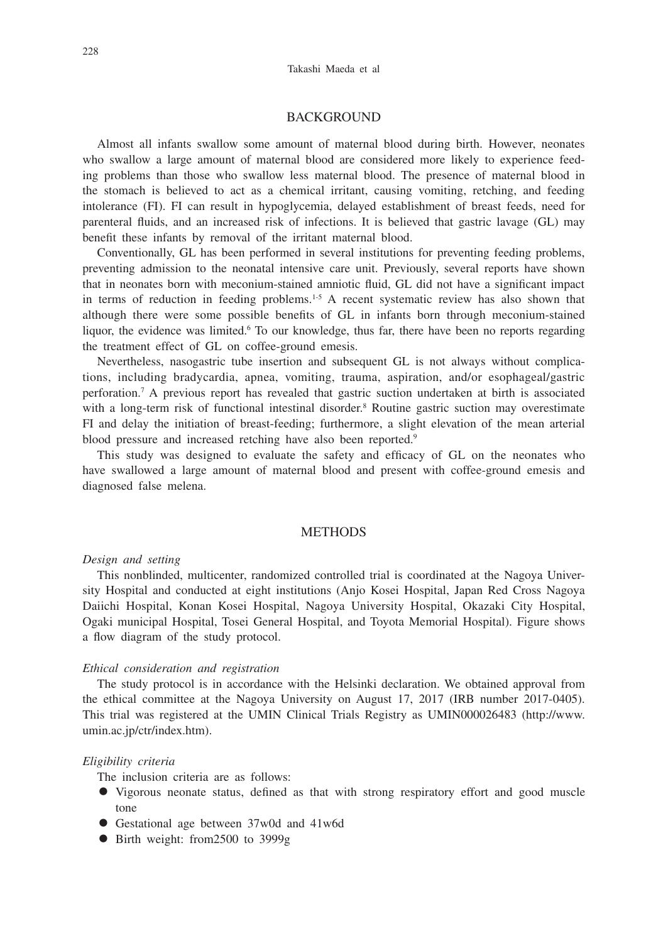# **BACKGROUND**

Almost all infants swallow some amount of maternal blood during birth. However, neonates who swallow a large amount of maternal blood are considered more likely to experience feeding problems than those who swallow less maternal blood. The presence of maternal blood in the stomach is believed to act as a chemical irritant, causing vomiting, retching, and feeding intolerance (FI). FI can result in hypoglycemia, delayed establishment of breast feeds, need for parenteral fluids, and an increased risk of infections. It is believed that gastric lavage (GL) may benefit these infants by removal of the irritant maternal blood.

Conventionally, GL has been performed in several institutions for preventing feeding problems, preventing admission to the neonatal intensive care unit. Previously, several reports have shown that in neonates born with meconium-stained amniotic fluid, GL did not have a significant impact in terms of reduction in feeding problems.<sup>1-5</sup> A recent systematic review has also shown that although there were some possible benefits of GL in infants born through meconium-stained liquor, the evidence was limited.<sup>6</sup> To our knowledge, thus far, there have been no reports regarding the treatment effect of GL on coffee-ground emesis.

Nevertheless, nasogastric tube insertion and subsequent GL is not always without complications, including bradycardia, apnea, vomiting, trauma, aspiration, and/or esophageal/gastric perforation.7 A previous report has revealed that gastric suction undertaken at birth is associated with a long-term risk of functional intestinal disorder.<sup>8</sup> Routine gastric suction may overestimate FI and delay the initiation of breast-feeding; furthermore, a slight elevation of the mean arterial blood pressure and increased retching have also been reported.<sup>9</sup>

This study was designed to evaluate the safety and efficacy of GL on the neonates who have swallowed a large amount of maternal blood and present with coffee-ground emesis and diagnosed false melena.

# **METHODS**

# *Design and setting*

This nonblinded, multicenter, randomized controlled trial is coordinated at the Nagoya University Hospital and conducted at eight institutions (Anjo Kosei Hospital, Japan Red Cross Nagoya Daiichi Hospital, Konan Kosei Hospital, Nagoya University Hospital, Okazaki City Hospital, Ogaki municipal Hospital, Tosei General Hospital, and Toyota Memorial Hospital). Figure shows a flow diagram of the study protocol.

#### *Ethical consideration and registration*

The study protocol is in accordance with the Helsinki declaration. We obtained approval from the ethical committee at the Nagoya University on August 17, 2017 (IRB number 2017-0405). This trial was registered at the UMIN Clinical Trials Registry as UMIN000026483 (http://www. umin.ac.jp/ctr/index.htm).

#### *Eligibility criteria*

The inclusion criteria are as follows:

- Vigorous neonate status, defined as that with strong respiratory effort and good muscle tone
- Gestational age between 37w0d and 41w6d
- Birth weight: from 2500 to 3999g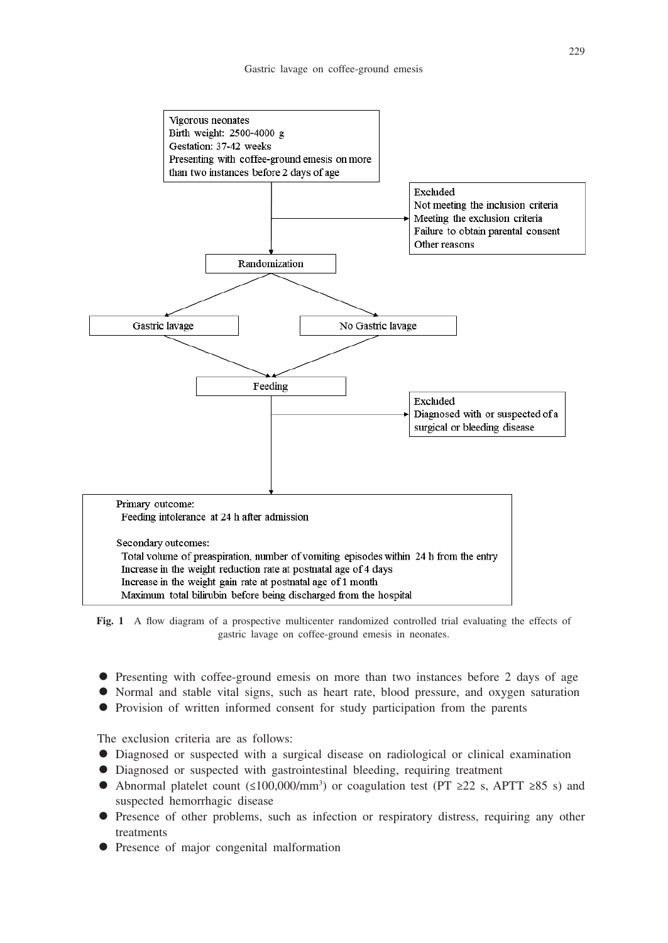

**Fig. 1** A flow diagram of a prospective multicenter randomized controlled trial evaluating the effects of gastric lavage on coffee-ground emesis in neonates.

- Presenting with coffee-ground emesis on more than two instances before 2 days of age
- Normal and stable vital signs, such as heart rate, blood pressure, and oxygen saturation
- Provision of written informed consent for study participation from the parents

The exclusion criteria are as follows:

- Diagnosed or suspected with a surgical disease on radiological or clinical examination
- Diagnosed or suspected with gastrointestinal bleeding, requiring treatment
- Abnormal platelet count (≤100,000/mm<sup>3</sup>) or coagulation test (PT ≥22 s, APTT ≥85 s) and suspected hemorrhagic disease
- Presence of other problems, such as infection or respiratory distress, requiring any other treatments
- Presence of major congenital malformation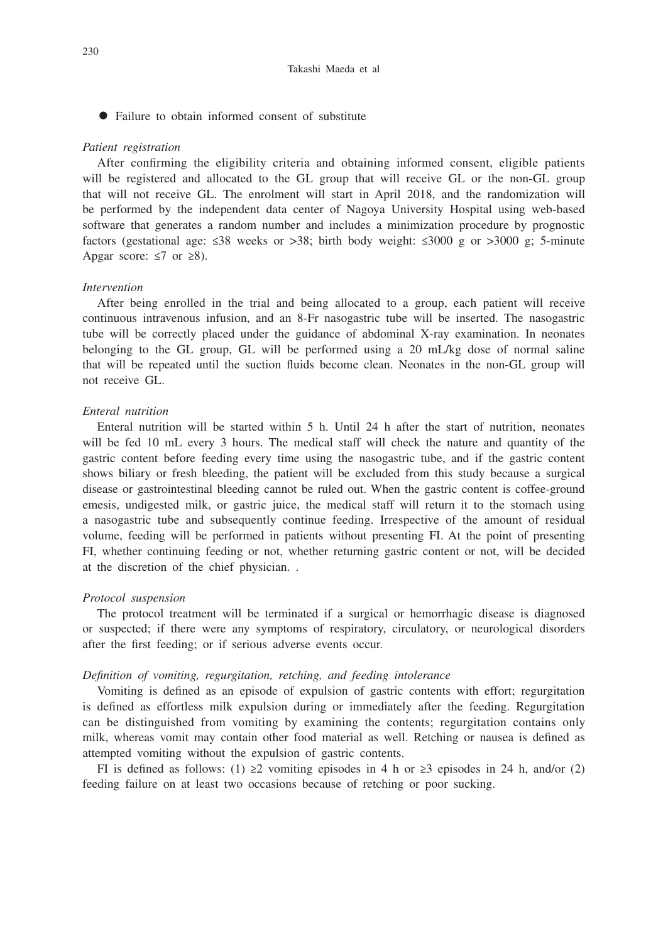• Failure to obtain informed consent of substitute

#### *Patient registration*

After confirming the eligibility criteria and obtaining informed consent, eligible patients will be registered and allocated to the GL group that will receive GL or the non-GL group that will not receive GL. The enrolment will start in April 2018, and the randomization will be performed by the independent data center of Nagoya University Hospital using web-based software that generates a random number and includes a minimization procedure by prognostic factors (gestational age:  $\leq 38$  weeks or  $> 38$ ; birth body weight:  $\leq 3000$  g or  $> 3000$  g; 5-minute Apgar score:  $\leq 7$  or  $\geq 8$ ).

## *Intervention*

After being enrolled in the trial and being allocated to a group, each patient will receive continuous intravenous infusion, and an 8-Fr nasogastric tube will be inserted. The nasogastric tube will be correctly placed under the guidance of abdominal X-ray examination. In neonates belonging to the GL group, GL will be performed using a 20 mL/kg dose of normal saline that will be repeated until the suction fluids become clean. Neonates in the non-GL group will not receive GL.

#### *Enteral nutrition*

Enteral nutrition will be started within 5 h. Until 24 h after the start of nutrition, neonates will be fed 10 mL every 3 hours. The medical staff will check the nature and quantity of the gastric content before feeding every time using the nasogastric tube, and if the gastric content shows biliary or fresh bleeding, the patient will be excluded from this study because a surgical disease or gastrointestinal bleeding cannot be ruled out. When the gastric content is coffee-ground emesis, undigested milk, or gastric juice, the medical staff will return it to the stomach using a nasogastric tube and subsequently continue feeding. Irrespective of the amount of residual volume, feeding will be performed in patients without presenting FI. At the point of presenting FI, whether continuing feeding or not, whether returning gastric content or not, will be decided at the discretion of the chief physician. .

#### *Protocol suspension*

The protocol treatment will be terminated if a surgical or hemorrhagic disease is diagnosed or suspected; if there were any symptoms of respiratory, circulatory, or neurological disorders after the first feeding; or if serious adverse events occur.

#### *Definition of vomiting, regurgitation, retching, and feeding intolerance*

Vomiting is defined as an episode of expulsion of gastric contents with effort; regurgitation is defined as effortless milk expulsion during or immediately after the feeding. Regurgitation can be distinguished from vomiting by examining the contents; regurgitation contains only milk, whereas vomit may contain other food material as well. Retching or nausea is defined as attempted vomiting without the expulsion of gastric contents.

FI is defined as follows: (1) ≥2 vomiting episodes in 4 h or ≥3 episodes in 24 h, and/or (2) feeding failure on at least two occasions because of retching or poor sucking.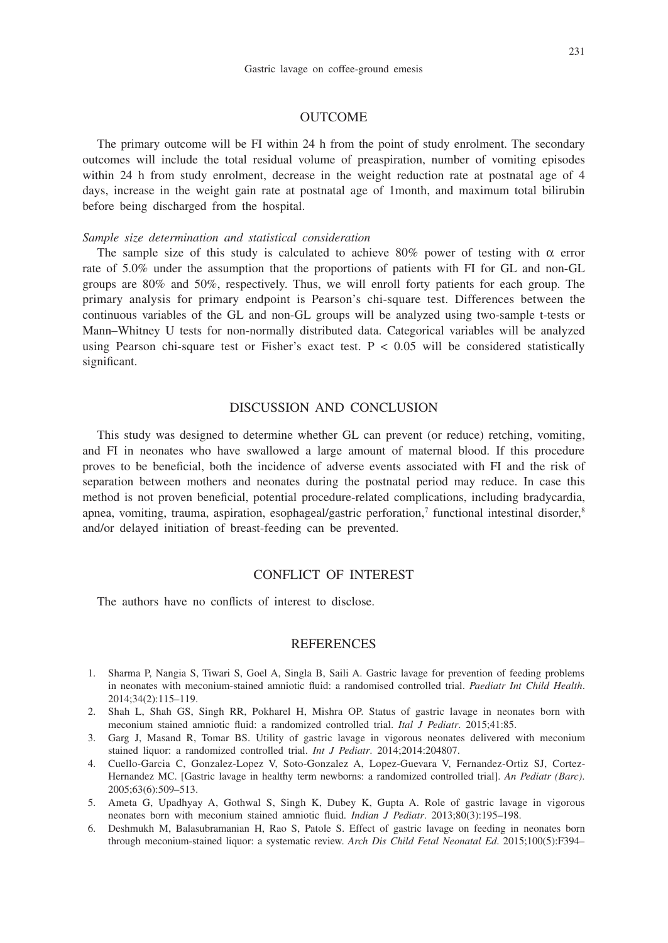### 231

## **OUTCOME**

The primary outcome will be FI within 24 h from the point of study enrolment. The secondary outcomes will include the total residual volume of preaspiration, number of vomiting episodes within 24 h from study enrolment, decrease in the weight reduction rate at postnatal age of 4 days, increase in the weight gain rate at postnatal age of 1month, and maximum total bilirubin before being discharged from the hospital.

#### *Sample size determination and statistical consideration*

The sample size of this study is calculated to achieve 80% power of testing with  $\alpha$  error rate of 5.0% under the assumption that the proportions of patients with FI for GL and non-GL groups are 80% and 50%, respectively. Thus, we will enroll forty patients for each group. The primary analysis for primary endpoint is Pearson's chi-square test. Differences between the continuous variables of the GL and non-GL groups will be analyzed using two-sample t-tests or Mann–Whitney U tests for non-normally distributed data. Categorical variables will be analyzed using Pearson chi-square test or Fisher's exact test.  $P < 0.05$  will be considered statistically significant.

# DISCUSSION AND CONCLUSION

This study was designed to determine whether GL can prevent (or reduce) retching, vomiting, and FI in neonates who have swallowed a large amount of maternal blood. If this procedure proves to be beneficial, both the incidence of adverse events associated with FI and the risk of separation between mothers and neonates during the postnatal period may reduce. In case this method is not proven beneficial, potential procedure-related complications, including bradycardia, apnea, vomiting, trauma, aspiration, esophageal/gastric perforation,<sup>7</sup> functional intestinal disorder,<sup>8</sup> and/or delayed initiation of breast-feeding can be prevented.

# CONFLICT OF INTEREST

The authors have no conflicts of interest to disclose.

## **REFERENCES**

- 1. Sharma P, Nangia S, Tiwari S, Goel A, Singla B, Saili A. Gastric lavage for prevention of feeding problems in neonates with meconium-stained amniotic fluid: a randomised controlled trial. *Paediatr Int Child Health*. 2014;34(2):115–119.
- 2. Shah L, Shah GS, Singh RR, Pokharel H, Mishra OP. Status of gastric lavage in neonates born with meconium stained amniotic fluid: a randomized controlled trial. *Ital J Pediatr*. 2015;41:85.
- 3. Garg J, Masand R, Tomar BS. Utility of gastric lavage in vigorous neonates delivered with meconium stained liquor: a randomized controlled trial. *Int J Pediatr*. 2014;2014:204807.
- 4. Cuello-Garcia C, Gonzalez-Lopez V, Soto-Gonzalez A, Lopez-Guevara V, Fernandez-Ortiz SJ, Cortez-Hernandez MC. [Gastric lavage in healthy term newborns: a randomized controlled trial]. *An Pediatr (Barc)*. 2005;63(6):509–513.
- 5. Ameta G, Upadhyay A, Gothwal S, Singh K, Dubey K, Gupta A. Role of gastric lavage in vigorous neonates born with meconium stained amniotic fluid. *Indian J Pediatr*. 2013;80(3):195–198.
- 6. Deshmukh M, Balasubramanian H, Rao S, Patole S. Effect of gastric lavage on feeding in neonates born through meconium-stained liquor: a systematic review. *Arch Dis Child Fetal Neonatal Ed*. 2015;100(5):F394–